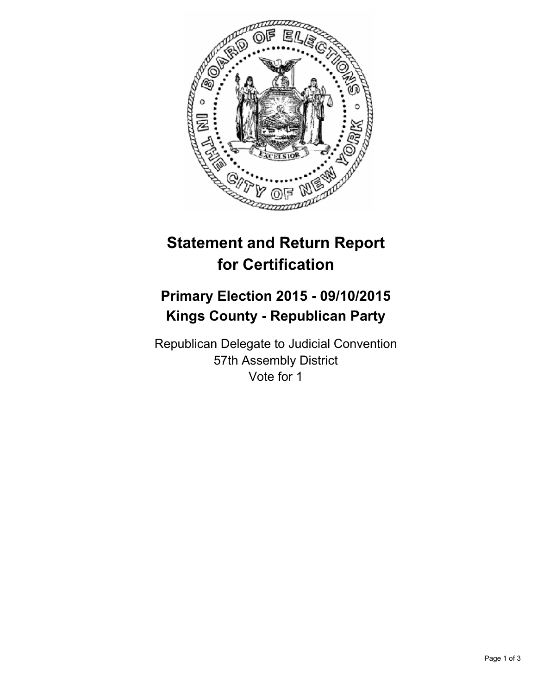

# **Statement and Return Report for Certification**

## **Primary Election 2015 - 09/10/2015 Kings County - Republican Party**

Republican Delegate to Judicial Convention 57th Assembly District Vote for 1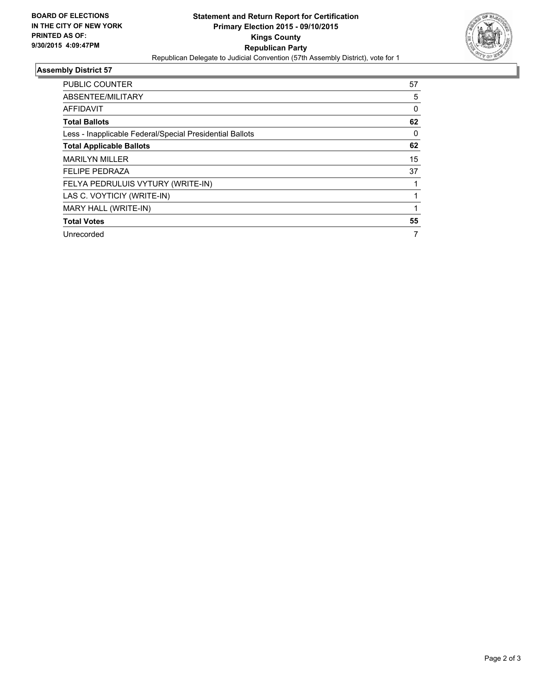

### **Assembly District 57**

| <b>PUBLIC COUNTER</b>                                    | 57 |
|----------------------------------------------------------|----|
| ABSENTEE/MILITARY                                        | 5  |
| <b>AFFIDAVIT</b>                                         | 0  |
| <b>Total Ballots</b>                                     | 62 |
| Less - Inapplicable Federal/Special Presidential Ballots | 0  |
| <b>Total Applicable Ballots</b>                          | 62 |
| <b>MARILYN MILLER</b>                                    | 15 |
| <b>FELIPE PEDRAZA</b>                                    | 37 |
| FELYA PEDRULUIS VYTURY (WRITE-IN)                        |    |
| LAS C. VOYTICIY (WRITE-IN)                               |    |
| MARY HALL (WRITE-IN)                                     |    |
| <b>Total Votes</b>                                       | 55 |
| Unrecorded                                               | 7  |